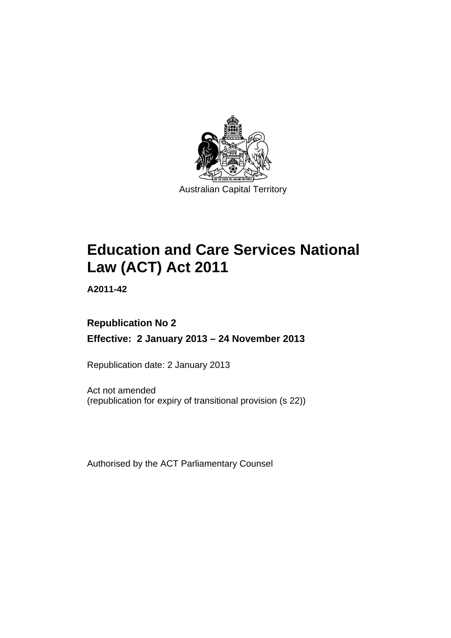

# **Education and Care Services National Law (ACT) Act 2011**

**A2011-42** 

### **Republication No 2 Effective: 2 January 2013 – 24 November 2013**

Republication date: 2 January 2013

Act not amended (republication for expiry of transitional provision (s 22))

Authorised by the ACT Parliamentary Counsel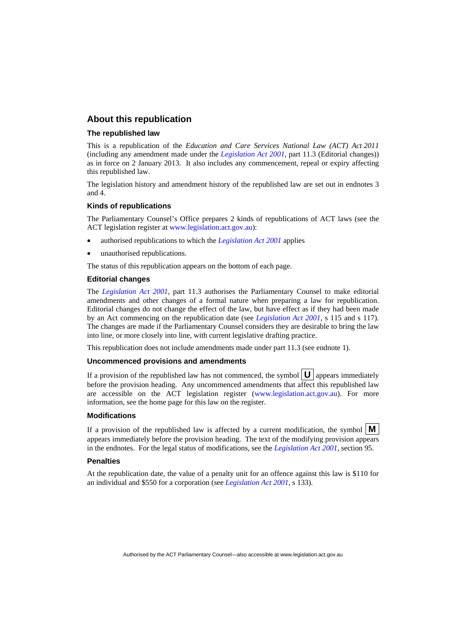#### **About this republication**

#### **The republished law**

This is a republication of the *Education and Care Services National Law (ACT) Act 2011* (including any amendment made under the *[Legislation Act 2001](http://www.legislation.act.gov.au/a/2001-14)*, part 11.3 (Editorial changes)) as in force on 2 January 2013*.* It also includes any commencement, repeal or expiry affecting this republished law.

The legislation history and amendment history of the republished law are set out in endnotes 3 and 4.

#### **Kinds of republications**

The Parliamentary Counsel's Office prepares 2 kinds of republications of ACT laws (see the ACT legislation register at [www.legislation.act.gov.au](http://www.legislation.act.gov.au/)):

- authorised republications to which the *[Legislation Act 2001](http://www.legislation.act.gov.au/a/2001-14)* applies
- unauthorised republications.

The status of this republication appears on the bottom of each page.

#### **Editorial changes**

The *[Legislation Act 2001](http://www.legislation.act.gov.au/a/2001-14)*, part 11.3 authorises the Parliamentary Counsel to make editorial amendments and other changes of a formal nature when preparing a law for republication. Editorial changes do not change the effect of the law, but have effect as if they had been made by an Act commencing on the republication date (see *[Legislation Act 2001](http://www.legislation.act.gov.au/a/2001-14)*, s 115 and s 117). The changes are made if the Parliamentary Counsel considers they are desirable to bring the law into line, or more closely into line, with current legislative drafting practice.

This republication does not include amendments made under part 11.3 (see endnote 1).

#### **Uncommenced provisions and amendments**

If a provision of the republished law has not commenced, the symbol  $\mathbf{U}$  appears immediately before the provision heading. Any uncommenced amendments that affect this republished law are accessible on the ACT legislation register [\(www.legislation.act.gov.au\)](http://www.legislation.act.gov.au/). For more information, see the home page for this law on the register.

#### **Modifications**

If a provision of the republished law is affected by a current modification, the symbol  $\mathbf{M}$ appears immediately before the provision heading. The text of the modifying provision appears in the endnotes. For the legal status of modifications, see the *[Legislation Act 2001](http://www.legislation.act.gov.au/a/2001-14)*, section 95.

#### **Penalties**

At the republication date, the value of a penalty unit for an offence against this law is \$110 for an individual and \$550 for a corporation (see *[Legislation Act 2001](http://www.legislation.act.gov.au/a/2001-14)*, s 133).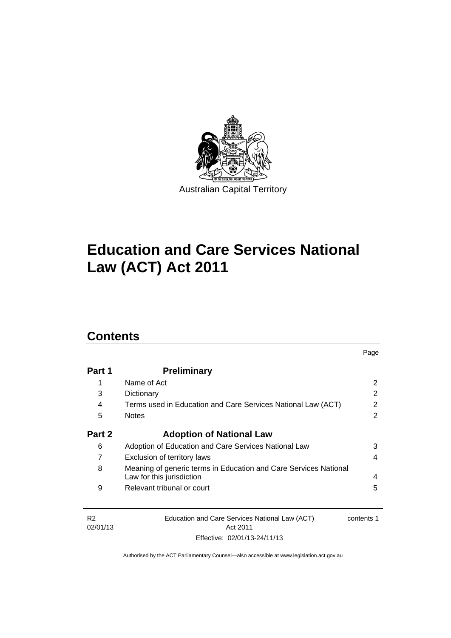

# **Education and Care Services National Law (ACT) Act 2011**

### **Contents**

| Part 1 | <b>Preliminary</b>                                                                            |   |
|--------|-----------------------------------------------------------------------------------------------|---|
| 1      | Name of Act                                                                                   | 2 |
| 3      | Dictionary                                                                                    | 2 |
| 4      | Terms used in Education and Care Services National Law (ACT)                                  | 2 |
| 5      | <b>Notes</b>                                                                                  | 2 |
| Part 2 | <b>Adoption of National Law</b>                                                               |   |
| 6      | Adoption of Education and Care Services National Law                                          | 3 |
| 7      | Exclusion of territory laws                                                                   | 4 |
| 8      | Meaning of generic terms in Education and Care Services National<br>Law for this jurisdiction | 4 |
| 9      | Relevant tribunal or court                                                                    | 5 |

Page

R2 02/01/13 Education and Care Services National Law (ACT) Act 2011 Effective: 02/01/13-24/11/13 contents 1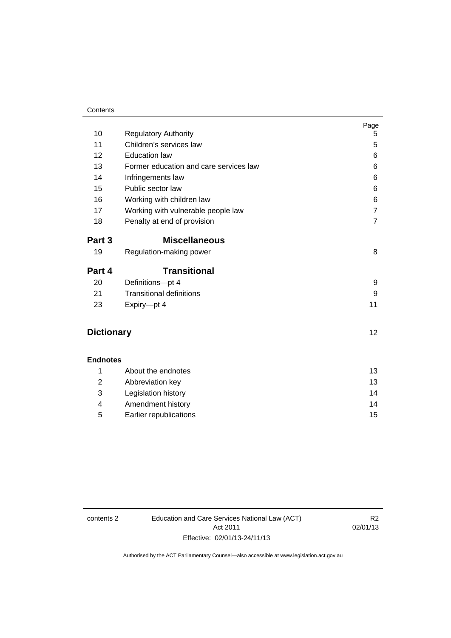#### **Contents**

|                   |                                        | Page           |
|-------------------|----------------------------------------|----------------|
| 10                | <b>Regulatory Authority</b>            | 5              |
| 11                | Children's services law                | 5              |
| 12                | <b>Education law</b>                   | 6              |
| 13                | Former education and care services law | 6              |
| 14                | Infringements law                      | 6              |
| 15                | Public sector law                      | 6              |
| 16                | Working with children law              | 6              |
| 17                | Working with vulnerable people law     | $\overline{7}$ |
| 18                | Penalty at end of provision            | $\overline{7}$ |
| Part 3            | <b>Miscellaneous</b>                   |                |
| 19                | Regulation-making power                | 8              |
| Part 4            | <b>Transitional</b>                    |                |
| 20                | Definitions-pt 4                       | 9              |
| 21                | <b>Transitional definitions</b>        | 9              |
| 23                | Expiry-pt 4                            | 11             |
| <b>Dictionary</b> |                                        | 12             |
|                   |                                        |                |
| <b>Endnotes</b>   |                                        |                |
| 1                 | About the endnotes                     | 13             |
| 2                 | Abbreviation key                       | 13             |
| 3                 | Legislation history                    | 14             |
| 4                 | Amendment history                      | 14             |

5 [Earlier republications 15](#page-18-0)

contents 2 Education and Care Services National Law (ACT) Act 2011 Effective: 02/01/13-24/11/13

R2 02/01/13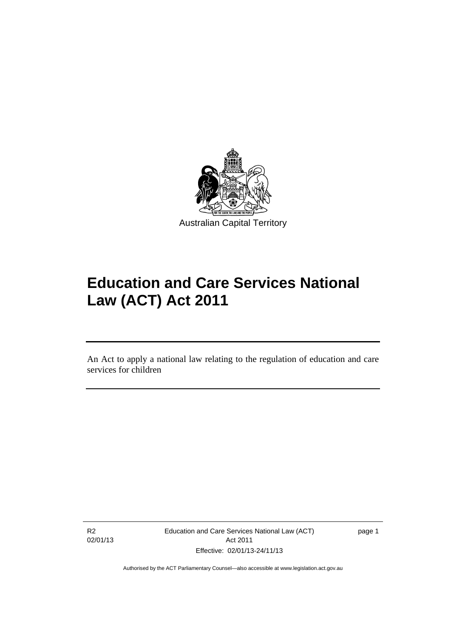

# **Education and Care Services National Law (ACT) Act 2011**

An Act to apply a national law relating to the regulation of education and care services for children

R2 02/01/13

l

Education and Care Services National Law (ACT) Act 2011 Effective: 02/01/13-24/11/13

page 1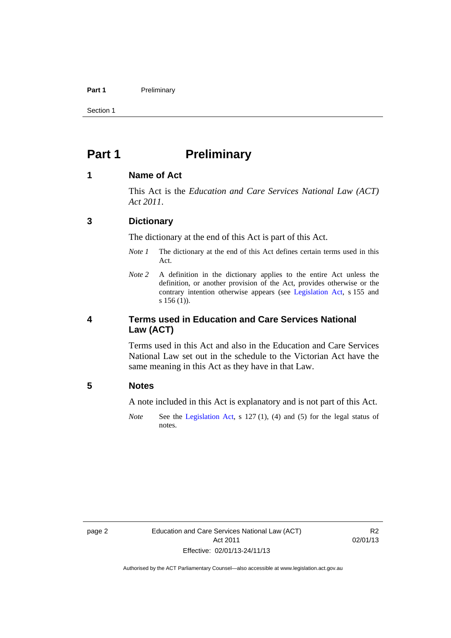#### Part 1 **Preliminary**

Section 1

### <span id="page-5-0"></span>**Part 1** Preliminary

#### <span id="page-5-1"></span>**1 Name of Act**

This Act is the *Education and Care Services National Law (ACT) Act 2011*.

#### <span id="page-5-2"></span>**3 Dictionary**

The dictionary at the end of this Act is part of this Act.

- *Note 1* The dictionary at the end of this Act defines certain terms used in this Act.
- *Note 2* A definition in the dictionary applies to the entire Act unless the definition, or another provision of the Act, provides otherwise or the contrary intention otherwise appears (see [Legislation Act](http://www.legislation.act.gov.au/a/2001-14), s 155 and s 156 (1)).

#### <span id="page-5-3"></span>**4 Terms used in Education and Care Services National Law (ACT)**

Terms used in this Act and also in the Education and Care Services National Law set out in the schedule to the Victorian Act have the same meaning in this Act as they have in that Law.

#### <span id="page-5-4"></span>**5 Notes**

A note included in this Act is explanatory and is not part of this Act.

*Note* See the [Legislation Act,](http://www.legislation.act.gov.au/a/2001-14) s 127 (1), (4) and (5) for the legal status of notes.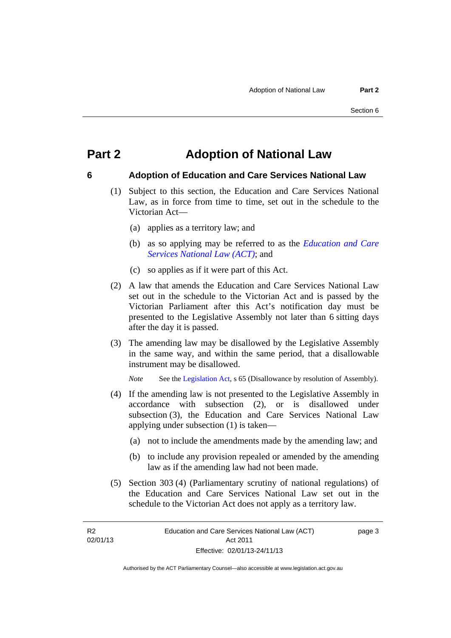### <span id="page-6-0"></span>**Part 2 Adoption of National Law**

### <span id="page-6-1"></span>**6 Adoption of Education and Care Services National Law**

- (1) Subject to this section, the Education and Care Services National Law, as in force from time to time, set out in the schedule to the Victorian Act—
	- (a) applies as a territory law; and
	- (b) as so applying may be referred to as the *[Education and Care](http://www.legislation.act.gov.au/a/db_44782/default.asp)  [Services National Law \(ACT\)](http://www.legislation.act.gov.au/a/db_44782/default.asp)*; and
	- (c) so applies as if it were part of this Act.
- (2) A law that amends the Education and Care Services National Law set out in the schedule to the Victorian Act and is passed by the Victorian Parliament after this Act's notification day must be presented to the Legislative Assembly not later than 6 sitting days after the day it is passed.
- (3) The amending law may be disallowed by the Legislative Assembly in the same way, and within the same period, that a disallowable instrument may be disallowed.

*Note* See the [Legislation Act,](http://www.legislation.act.gov.au/a/2001-14) s 65 (Disallowance by resolution of Assembly).

- (4) If the amending law is not presented to the Legislative Assembly in accordance with subsection (2), or is disallowed under subsection (3), the Education and Care Services National Law applying under subsection (1) is taken—
	- (a) not to include the amendments made by the amending law; and
	- (b) to include any provision repealed or amended by the amending law as if the amending law had not been made.
- (5) Section 303 (4) (Parliamentary scrutiny of national regulations) of the Education and Care Services National Law set out in the schedule to the Victorian Act does not apply as a territory law.

R2 02/01/13 page 3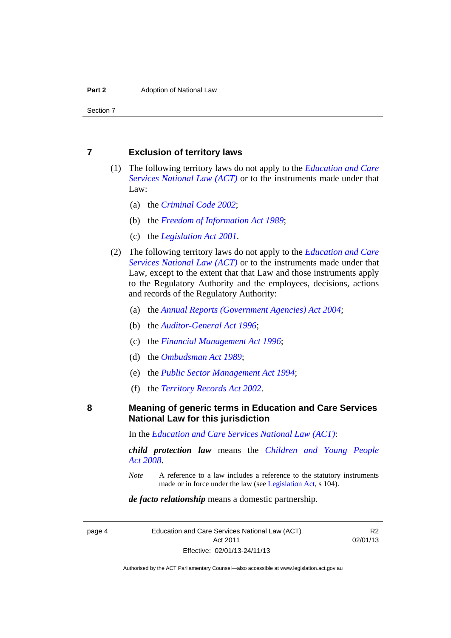#### <span id="page-7-0"></span>**7 Exclusion of territory laws**

- (1) The following territory laws do not apply to the *[Education and Care](http://www.legislation.act.gov.au/a/db_44782/default.asp)  [Services National Law \(ACT\)](http://www.legislation.act.gov.au/a/db_44782/default.asp)* or to the instruments made under that Law:
	- (a) the *[Criminal Code 2002](http://www.legislation.act.gov.au/a/2002-51)*;
	- (b) the *[Freedom of Information Act 1989](http://www.legislation.act.gov.au/a/alt_a1989-46co)*;
	- (c) the *[Legislation Act 2001](http://www.legislation.act.gov.au/a/2001-14)*.
- (2) The following territory laws do not apply to the *[Education and Care](http://www.legislation.act.gov.au/a/db_44782/default.asp)  [Services National Law \(ACT\)](http://www.legislation.act.gov.au/a/db_44782/default.asp)* or to the instruments made under that Law, except to the extent that that Law and those instruments apply to the Regulatory Authority and the employees, decisions, actions and records of the Regulatory Authority:
	- (a) the *[Annual Reports \(Government Agencies\) Act 2004](http://www.legislation.act.gov.au/a/2004-8)*;
	- (b) the *[Auditor-General Act 1996](http://www.legislation.act.gov.au/a/1996-23)*;
	- (c) the *[Financial Management Act 1996](http://www.legislation.act.gov.au/a/1996-22)*;
	- (d) the *[Ombudsman Act 1989](http://www.legislation.act.gov.au/a/alt_a1989-45co)*;
	- (e) the *[Public Sector Management Act 1994](http://www.legislation.act.gov.au/a/1994-37)*;
	- (f) the *[Territory Records Act 2002](http://www.legislation.act.gov.au/a/2002-18)*.

#### <span id="page-7-1"></span>**8 Meaning of generic terms in Education and Care Services National Law for this jurisdiction**

In the *[Education and Care Services National Law \(ACT\)](http://www.legislation.act.gov.au/a/db_44782/default.asp)*:

*child protection law* means the *[Children and Young People](http://www.legislation.act.gov.au/a/2008-19)  [Act 2008](http://www.legislation.act.gov.au/a/2008-19)*.

*Note* A reference to a law includes a reference to the statutory instruments made or in force under the law (see [Legislation Act,](http://www.legislation.act.gov.au/a/2001-14) s 104).

#### *de facto relationship* means a domestic partnership.

page 4 Education and Care Services National Law (ACT) Act 2011 Effective: 02/01/13-24/11/13

R2 02/01/13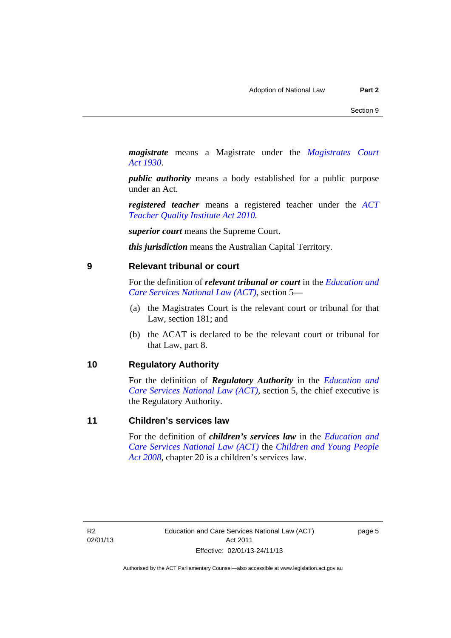*magistrate* means a Magistrate under the *[Magistrates Court](http://www.legislation.act.gov.au/a/1930-21)  [Act 1930](http://www.legislation.act.gov.au/a/1930-21)*.

*public authority* means a body established for a public purpose under an Act.

*registered teacher* means a registered teacher under the *[ACT](http://www.legislation.act.gov.au/a/2010-55)  [Teacher Quality Institute Act 2010.](http://www.legislation.act.gov.au/a/2010-55)*

*superior court* means the Supreme Court.

*this jurisdiction* means the Australian Capital Territory.

#### <span id="page-8-0"></span>**9 Relevant tribunal or court**

For the definition of *relevant tribunal or court* in the *[Education and](http://www.legislation.act.gov.au/a/db_44782/default.asp)  [Care Services National Law \(ACT\)](http://www.legislation.act.gov.au/a/db_44782/default.asp)*, section 5—

- (a) the Magistrates Court is the relevant court or tribunal for that Law, section 181; and
- (b) the ACAT is declared to be the relevant court or tribunal for that Law, part 8.

#### <span id="page-8-1"></span>**10 Regulatory Authority**

For the definition of *Regulatory Authority* in the *[Education and](http://www.legislation.act.gov.au/a/db_44782/default.asp)  [Care Services National Law \(ACT\)](http://www.legislation.act.gov.au/a/db_44782/default.asp)*, section 5, the chief executive is the Regulatory Authority.

#### <span id="page-8-2"></span>**11 Children's services law**

For the definition of *children's services law* in the *[Education and](http://www.legislation.act.gov.au/a/db_44782/default.asp)  [Care Services National Law \(ACT\)](http://www.legislation.act.gov.au/a/db_44782/default.asp)* the *[Children and Young People](http://www.legislation.act.gov.au/a/2008-19)  [Act 2008](http://www.legislation.act.gov.au/a/2008-19)*, chapter 20 is a children's services law.

R2 02/01/13 page 5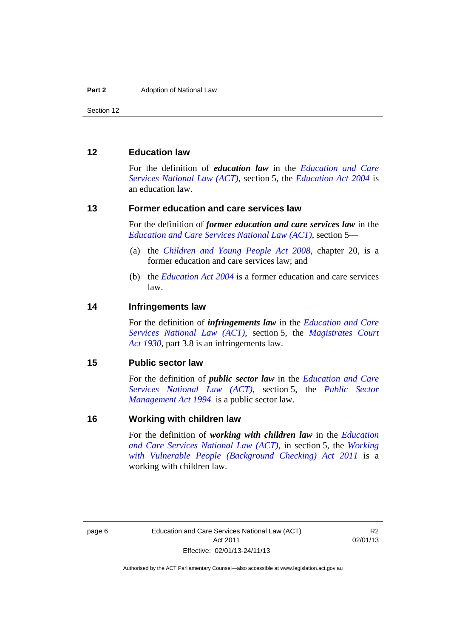#### <span id="page-9-0"></span>**12 Education law**

For the definition of *education law* in the *[Education and Care](http://www.legislation.act.gov.au/a/db_44782/default.asp)  [Services National Law \(ACT\)](http://www.legislation.act.gov.au/a/db_44782/default.asp)*, section 5, the *[Education Act 2004](http://www.legislation.act.gov.au/a/2004-17)* is an education law.

#### <span id="page-9-1"></span>**13 Former education and care services law**

For the definition of *former education and care services law* in the *[Education and Care Services National Law \(ACT\)](http://www.legislation.act.gov.au/a/db_44782/default.asp)*, section 5—

- (a) the *[Children and Young People Act 2008](http://www.legislation.act.gov.au/a/2008-19)*, chapter 20, is a former education and care services law; and
- (b) the *[Education Act 2004](http://www.legislation.act.gov.au/a/2004-17)* is a former education and care services law.

#### <span id="page-9-2"></span>**14 Infringements law**

For the definition of *infringements law* in the *[Education and Care](http://www.legislation.act.gov.au/a/db_44782/default.asp)  [Services National Law \(ACT\)](http://www.legislation.act.gov.au/a/db_44782/default.asp)*, section 5, the *[Magistrates Court](http://www.legislation.act.gov.au/a/1930-21)  [Act 1930](http://www.legislation.act.gov.au/a/1930-21)*, part 3.8 is an infringements law.

#### <span id="page-9-3"></span>**15 Public sector law**

For the definition of *public sector law* in the *[Education and Care](http://www.legislation.act.gov.au/a/db_44782/default.asp)  [Services National Law \(ACT\)](http://www.legislation.act.gov.au/a/db_44782/default.asp)*, section 5, the *[Public Sector](http://www.legislation.act.gov.au/a/1994-37)  [Management Act 1994](http://www.legislation.act.gov.au/a/1994-37)* is a public sector law.

#### <span id="page-9-4"></span>**16 Working with children law**

For the definition of *working with children law* in the *[Education](http://www.legislation.act.gov.au/a/db_44782/default.asp)  [and Care Services National Law \(ACT\)](http://www.legislation.act.gov.au/a/db_44782/default.asp)*, in section 5, the *[Working](http://www.legislation.act.gov.au/a/2011-44)  [with Vulnerable People \(Background Checking\) Act 2011](http://www.legislation.act.gov.au/a/2011-44)* is a working with children law.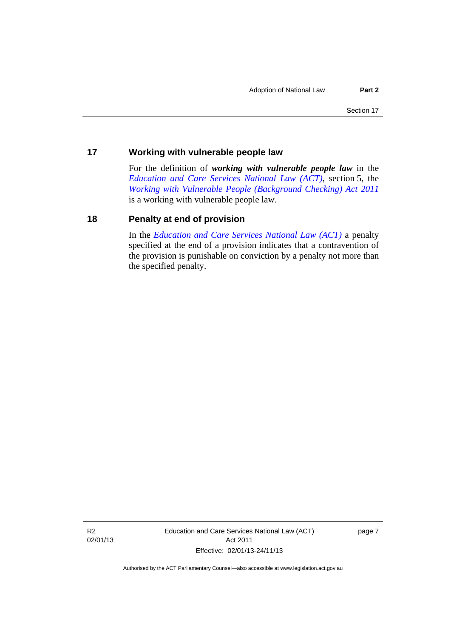#### <span id="page-10-0"></span>**17 Working with vulnerable people law**

For the definition of *working with vulnerable people law* in the *[Education and Care Services National Law \(ACT\)](http://www.legislation.act.gov.au/a/db_44782/default.asp)*, section 5, the *[Working with Vulnerable People \(Background Checking\) Act 2011](http://www.legislation.act.gov.au/a/2011-44)* is a working with vulnerable people law.

#### <span id="page-10-1"></span>**18 Penalty at end of provision**

In the *[Education and Care Services National Law \(ACT\)](http://www.legislation.act.gov.au/a/db_44782/default.asp)* a penalty specified at the end of a provision indicates that a contravention of the provision is punishable on conviction by a penalty not more than the specified penalty.

R2 02/01/13 Education and Care Services National Law (ACT) Act 2011 Effective: 02/01/13-24/11/13

page 7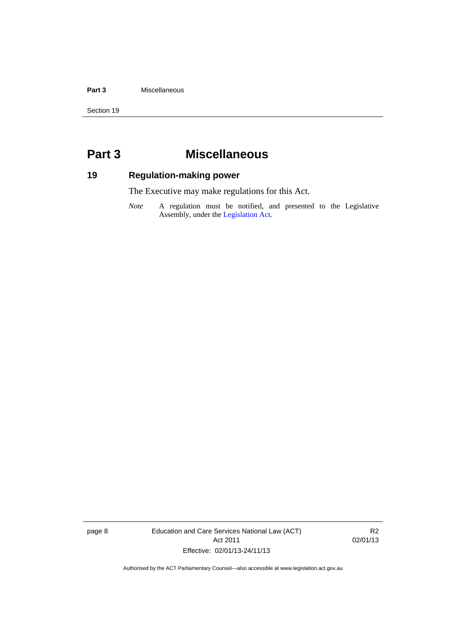#### **Part 3** Miscellaneous

Section 19

### <span id="page-11-0"></span>**Part 3 Miscellaneous**

### <span id="page-11-1"></span>**19 Regulation-making power**

The Executive may make regulations for this Act.

*Note* A regulation must be notified, and presented to the Legislative Assembly, under the [Legislation Act](http://www.legislation.act.gov.au/a/2001-14).

page 8 Education and Care Services National Law (ACT) Act 2011 Effective: 02/01/13-24/11/13

R2 02/01/13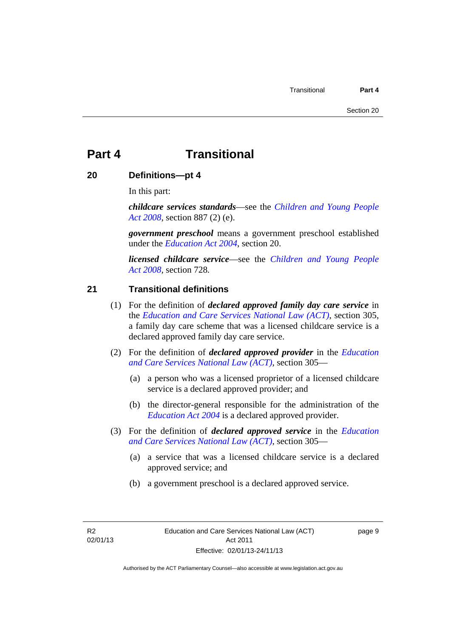### <span id="page-12-0"></span>**Part 4 Transitional**

#### <span id="page-12-1"></span>**20 Definitions—pt 4**

In this part:

*childcare services standards*—see the *[Children and Young People](http://www.legislation.act.gov.au/a/2008-19)  [Act 2008](http://www.legislation.act.gov.au/a/2008-19)*, section 887 (2) (e).

*government preschool* means a government preschool established under the *[Education Act 2004](http://www.legislation.act.gov.au/a/2004-17)*, section 20.

*licensed childcare service*—see the *[Children and Young People](http://www.legislation.act.gov.au/a/2008-19)  [Act 2008](http://www.legislation.act.gov.au/a/2008-19),* section 728*.*

#### <span id="page-12-2"></span>**21 Transitional definitions**

- (1) For the definition of *declared approved family day care service* in the *[Education and Care Services National Law \(ACT\)](http://www.legislation.act.gov.au/a/db_44782/default.asp)*, section 305, a family day care scheme that was a licensed childcare service is a declared approved family day care service.
- (2) For the definition of *declared approved provider* in the *[Education](http://www.legislation.act.gov.au/a/db_44782/default.asp)  [and Care Services National Law \(ACT\)](http://www.legislation.act.gov.au/a/db_44782/default.asp)*, section 305—
	- (a) a person who was a licensed proprietor of a licensed childcare service is a declared approved provider; and
	- (b) the director-general responsible for the administration of the *[Education Act 2004](http://www.legislation.act.gov.au/a/2004-17)* is a declared approved provider.
- (3) For the definition of *declared approved service* in the *[Education](http://www.legislation.act.gov.au/a/db_44782/default.asp)  [and Care Services National Law \(ACT\)](http://www.legislation.act.gov.au/a/db_44782/default.asp)*, section 305—
	- (a) a service that was a licensed childcare service is a declared approved service; and
	- (b) a government preschool is a declared approved service.

R2 02/01/13 page 9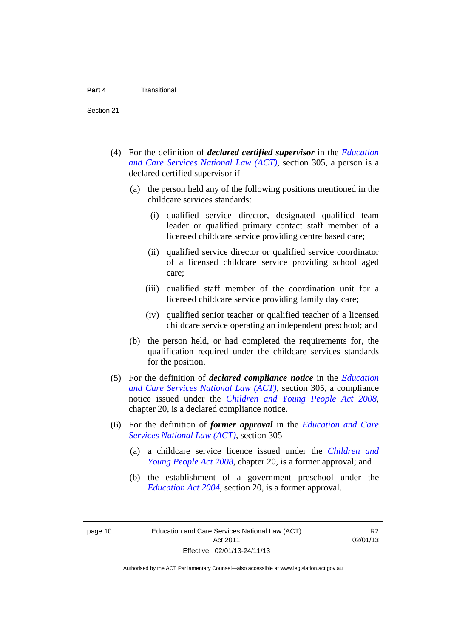- (4) For the definition of *declared certified supervisor* in the *[Education](http://www.legislation.act.gov.au/a/db_44782/default.asp)  [and Care Services National Law \(ACT\)](http://www.legislation.act.gov.au/a/db_44782/default.asp)*, section 305, a person is a declared certified supervisor if—
	- (a) the person held any of the following positions mentioned in the childcare services standards:
		- (i) qualified service director, designated qualified team leader or qualified primary contact staff member of a licensed childcare service providing centre based care;
		- (ii) qualified service director or qualified service coordinator of a licensed childcare service providing school aged care;
		- (iii) qualified staff member of the coordination unit for a licensed childcare service providing family day care;
		- (iv) qualified senior teacher or qualified teacher of a licensed childcare service operating an independent preschool; and
	- (b) the person held, or had completed the requirements for, the qualification required under the childcare services standards for the position.
- (5) For the definition of *declared compliance notice* in the *[Education](http://www.legislation.act.gov.au/a/db_44782/default.asp)  [and Care Services National Law \(ACT\)](http://www.legislation.act.gov.au/a/db_44782/default.asp)*, section 305, a compliance notice issued under the *[Children and Young People Act 2008](http://www.legislation.act.gov.au/a/2008-19)*, chapter 20, is a declared compliance notice.
- (6) For the definition of *former approval* in the *[Education and Care](http://www.legislation.act.gov.au/a/db_44782/default.asp)  [Services National Law \(ACT\)](http://www.legislation.act.gov.au/a/db_44782/default.asp)*, section 305—
	- (a) a childcare service licence issued under the *[Children and](http://www.legislation.act.gov.au/a/2008-19)  [Young People Act 2008](http://www.legislation.act.gov.au/a/2008-19)*, chapter 20, is a former approval; and
	- (b) the establishment of a government preschool under the *[Education Act 2004](http://www.legislation.act.gov.au/a/2004-17)*, section 20, is a former approval.

page 10 Education and Care Services National Law (ACT) Act 2011 Effective: 02/01/13-24/11/13

R2 02/01/13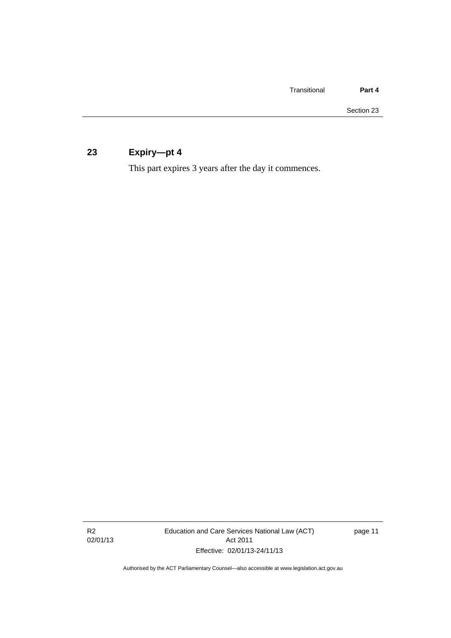### <span id="page-14-0"></span>**23 Expiry—pt 4**

This part expires 3 years after the day it commences.

R2 02/01/13 Education and Care Services National Law (ACT) Act 2011 Effective: 02/01/13-24/11/13

page 11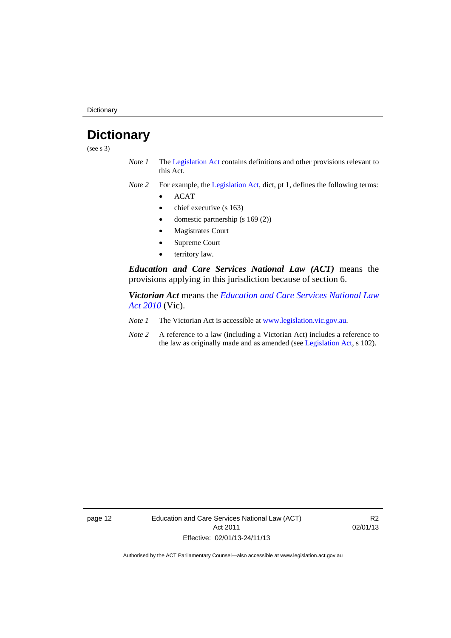**Dictionary** 

## <span id="page-15-0"></span>**Dictionary**

(see s 3)

- *Note 1* The [Legislation Act](http://www.legislation.act.gov.au/a/2001-14) contains definitions and other provisions relevant to this Act.
- *Note 2* For example, the [Legislation Act,](http://www.legislation.act.gov.au/a/2001-14) dict, pt 1, defines the following terms:
	- ACAT
	- chief executive (s 163)
	- domestic partnership (s 169 (2))
	- Magistrates Court
	- Supreme Court
	- territory law.

*Education and Care Services National Law (ACT)* means the provisions applying in this jurisdiction because of section 6.

*Victorian Act* means the *[Education and Care Services National Law](http://www.legislation.vic.gov.au/)  [Act 2010](http://www.legislation.vic.gov.au/)* (Vic).

- *Note 1* The Victorian Act is accessible at [www.legislation.vic.gov.au](http://www.legislation.vic.gov.au/).
- *Note 2* A reference to a law (including a Victorian Act) includes a reference to the law as originally made and as amended (see [Legislation Act,](http://www.legislation.act.gov.au/a/2001-14) s 102).

page 12 Education and Care Services National Law (ACT) Act 2011 Effective: 02/01/13-24/11/13

R2 02/01/13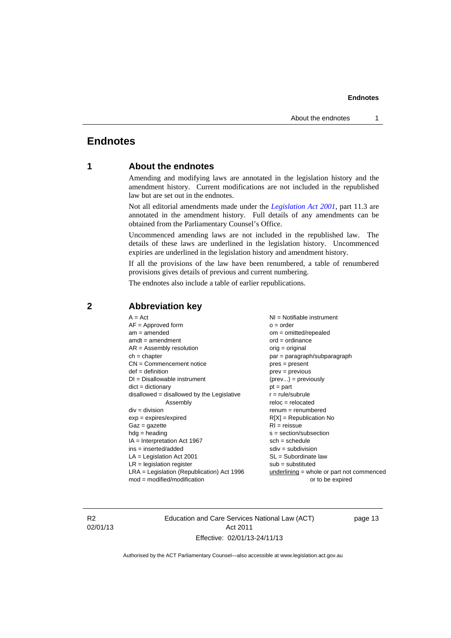#### **Endnotes**

#### <span id="page-16-0"></span>**Endnotes**

#### **1 About the endnotes**

Amending and modifying laws are annotated in the legislation history and the amendment history. Current modifications are not included in the republished law but are set out in the endnotes.

Not all editorial amendments made under the *[Legislation Act 2001](http://www.legislation.act.gov.au/a/2001-14)*, part 11.3 are annotated in the amendment history. Full details of any amendments can be obtained from the Parliamentary Counsel's Office.

Uncommenced amending laws are not included in the republished law. The details of these laws are underlined in the legislation history. Uncommenced expiries are underlined in the legislation history and amendment history.

If all the provisions of the law have been renumbered, a table of renumbered provisions gives details of previous and current numbering.

The endnotes also include a table of earlier republications.

| $A = Act$<br>$AF =$ Approved form<br>$am = amended$<br>$amdt = amendment$<br>$AR = Assembly resolution$<br>$ch = chapter$<br>$CN =$ Commencement notice<br>$def = definition$<br>$DI = Disallowable instrument$<br>$dict = dictionary$<br>disallowed = disallowed by the Legislative<br>Assembly<br>$div = division$<br>$exp = expires/expired$<br>$Gaz = gazette$<br>$hdg = heading$<br>$IA = Interpretation Act 1967$<br>$ins = inserted/added$<br>$LA =$ Legislation Act 2001<br>$LR =$ legislation register | NI = Notifiable instrument<br>$o = order$<br>$om = omitted/repealed$<br>$ord = ordinance$<br>$orig = original$<br>par = paragraph/subparagraph<br>$pres = present$<br>$prev = previous$<br>$(\text{prev}) = \text{previously}$<br>$pt = part$<br>$r = rule/subrule$<br>$reloc = relocated$<br>$remum = renumbered$<br>$R[X]$ = Republication No<br>$RI = reissue$<br>$s = section/subsection$<br>$sch = schedule$<br>$sdiv = subdivision$<br>$SL = Subordinate$ law<br>$sub =$ substituted |
|-----------------------------------------------------------------------------------------------------------------------------------------------------------------------------------------------------------------------------------------------------------------------------------------------------------------------------------------------------------------------------------------------------------------------------------------------------------------------------------------------------------------|--------------------------------------------------------------------------------------------------------------------------------------------------------------------------------------------------------------------------------------------------------------------------------------------------------------------------------------------------------------------------------------------------------------------------------------------------------------------------------------------|
|                                                                                                                                                                                                                                                                                                                                                                                                                                                                                                                 |                                                                                                                                                                                                                                                                                                                                                                                                                                                                                            |
| $LRA =$ Legislation (Republication) Act 1996<br>$mod = modified/modification$                                                                                                                                                                                                                                                                                                                                                                                                                                   | $underlining = whole or part not commenced$<br>or to be expired                                                                                                                                                                                                                                                                                                                                                                                                                            |
|                                                                                                                                                                                                                                                                                                                                                                                                                                                                                                                 |                                                                                                                                                                                                                                                                                                                                                                                                                                                                                            |

#### <span id="page-16-2"></span>**2 Abbreviation key**

R2 02/01/13 Education and Care Services National Law (ACT) Act 2011 Effective: 02/01/13-24/11/13

page 13

<span id="page-16-1"></span>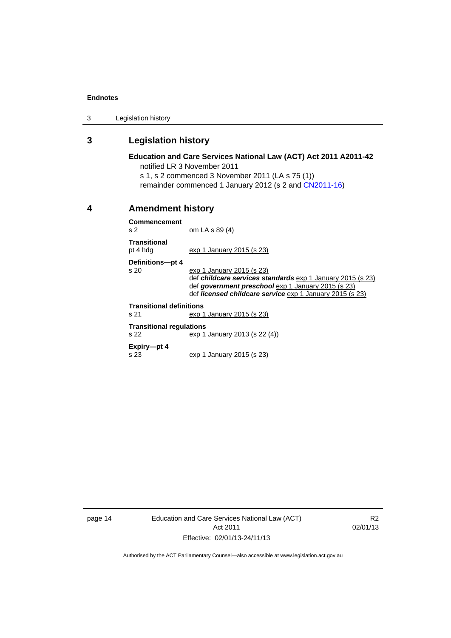#### **Endnotes**

3 Legislation history

#### <span id="page-17-0"></span>**3 Legislation history**

#### **Education and Care Services National Law (ACT) Act 2011 A2011-42**  notified LR 3 November 2011

s 1, s 2 commenced 3 November 2011 (LA s 75 (1))

remainder commenced 1 January 2012 (s 2 and [CN2011-16\)](http://www.legislation.act.gov.au/cn/2011-16/default.asp)

#### <span id="page-17-1"></span>**4 Amendment history**

**Commencement**  s 2 om LA s 89 (4)

**Transitional**  pt 4 hdg exp 1 January 2015 (s 23)

**Definitions—pt 4** 

exp 1 January 2015 (s 23) def *childcare services standards* exp 1 January 2015 (s 23) def *government preschool* exp 1 January 2015 (s 23) def *licensed childcare service* exp 1 January 2015 (s 23)

#### **Transitional definitions**

s 21 exp 1 January 2015 (s 23)

**Transitional regulations** 

s 22 exp 1 January 2013 (s 22 (4))

**Expiry—pt 4**  s 23 exp 1 January 2015 (s 23)

page 14 Education and Care Services National Law (ACT) Act 2011 Effective: 02/01/13-24/11/13

R2 02/01/13